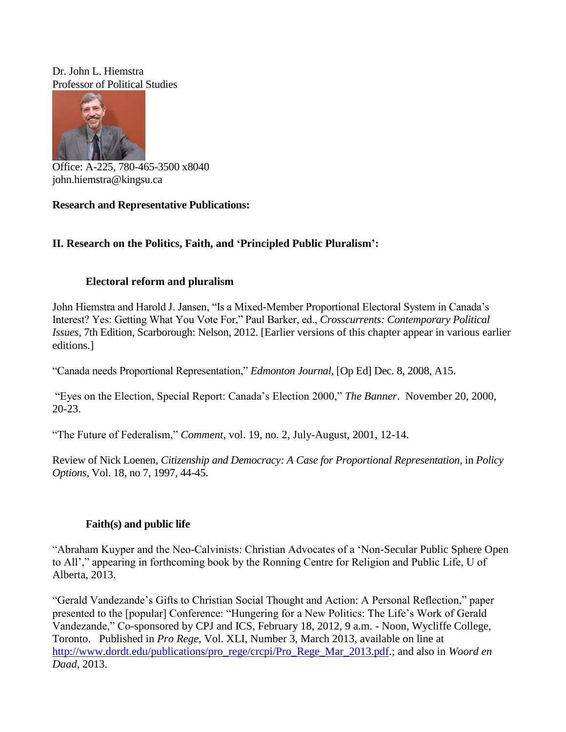Dr. John L. Hiemstra Professor of Political Studies



Office: A-225, 780-465-3500 x8040 john.hiemstra@kingsu.ca

## **Research and Representative Publications:**

# **II. Research on the Politics, Faith, and 'Principled Public Pluralism':**

## **Electoral reform and pluralism**

John Hiemstra and Harold J. Jansen, "Is a Mixed-Member Proportional Electoral System in Canada's Interest? Yes: Getting What You Vote For," Paul Barker, ed., *Crosscurrents: Contemporary Political Issues*, 7th Edition, Scarborough: Nelson, 2012. [Earlier versions of this chapter appear in various earlier editions.]

"Canada needs Proportional Representation," *Edmonton Journal*, [Op Ed] Dec. 8, 2008, A15.

"Eyes on the Election, Special Report: Canada's Election 2000," *The Banner*. November 20, 2000, 20-23.

"The Future of Federalism," *Comment*, vol. 19, no. 2, July-August, 2001, 12-14.

Review of Nick Loenen, *Citizenship and Democracy: A Case for Proportional Representation*, in *Policy Options*, Vol. 18, no 7, 1997, 44-45.

# **Faith(s) and public life**

"Abraham Kuyper and the Neo-Calvinists: Christian Advocates of a 'Non-Secular Public Sphere Open to All'," appearing in forthcoming book by the Ronning Centre for Religion and Public Life, U of Alberta, 2013.

"Gerald Vandezande's Gifts to Christian Social Thought and Action: A Personal Reflection," paper presented to the [popular] Conference: "Hungering for a New Politics: The Life's Work of Gerald Vandezande," Co-sponsored by CPJ and ICS, February 18, 2012, 9 a.m. - Noon, Wycliffe College, Toronto. Published in *Pro Rege*, Vol. XLI, Number 3, March 2013, available on line at [http://www.dordt.edu/publications/pro\\_rege/crcpi/Pro\\_Rege\\_Mar\\_2013.pdf.](http://www.dordt.edu/publications/pro_rege/crcpi/Pro_Rege_Mar_2013.pdf); and also in *Woord en Daad*, 2013.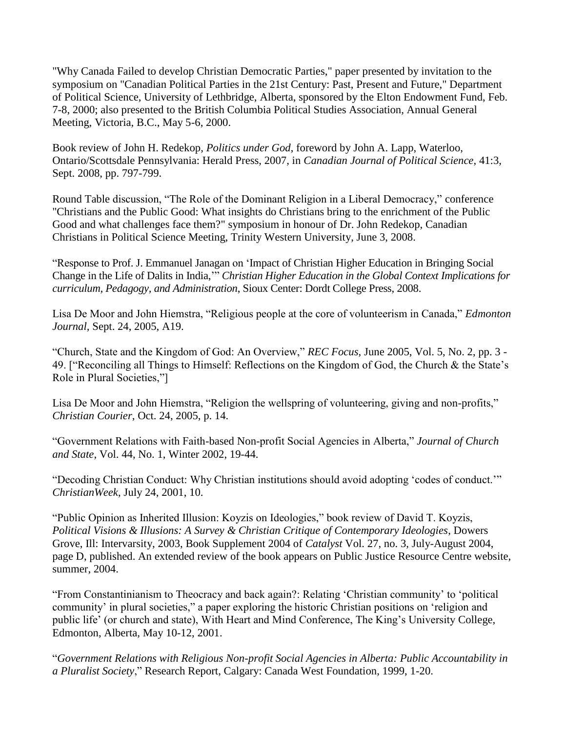"Why Canada Failed to develop Christian Democratic Parties," paper presented by invitation to the symposium on "Canadian Political Parties in the 21st Century: Past, Present and Future," Department of Political Science, University of Lethbridge, Alberta, sponsored by the Elton Endowment Fund, Feb. 7-8, 2000; also presented to the British Columbia Political Studies Association, Annual General Meeting, Victoria, B.C., May 5-6, 2000.

Book review of John H. Redekop, *Politics under God*, foreword by John A. Lapp, Waterloo, Ontario/Scottsdale Pennsylvania: Herald Press, 2007, in *Canadian Journal of Political Science*, 41:3, Sept. 2008, pp. 797-799.

Round Table discussion, "The Role of the Dominant Religion in a Liberal Democracy," conference "Christians and the Public Good: What insights do Christians bring to the enrichment of the Public Good and what challenges face them?" symposium in honour of Dr. John Redekop, Canadian Christians in Political Science Meeting, Trinity Western University, June 3, 2008.

"Response to Prof. J. Emmanuel Janagan on 'Impact of Christian Higher Education in Bringing Social Change in the Life of Dalits in India,'" *Christian Higher Education in the Global Context Implications for curriculum, Pedagogy, and Administration*, Sioux Center: Dordt College Press, 2008.

Lisa De Moor and John Hiemstra, "Religious people at the core of volunteerism in Canada," *Edmonton Journal,* Sept. 24, 2005, A19.

"Church, State and the Kingdom of God: An Overview," *REC Focus*, June 2005, Vol. 5, No. 2, pp. 3 - 49. ["Reconciling all Things to Himself: Reflections on the Kingdom of God, the Church & the State's Role in Plural Societies,"]

Lisa De Moor and John Hiemstra, "Religion the wellspring of volunteering, giving and non-profits," *Christian Courier*, Oct. 24, 2005, p. 14.

"Government Relations with Faith-based Non-profit Social Agencies in Alberta," *Journal of Church and State*, Vol. 44, No. 1, Winter 2002, 19-44.

"Decoding Christian Conduct: Why Christian institutions should avoid adopting 'codes of conduct.'" *ChristianWeek*, July 24, 2001, 10.

"Public Opinion as Inherited Illusion: Koyzis on Ideologies," book review of David T. Koyzis, *Political Visions & Illusions: A Survey & Christian Critique of Contemporary Ideologies*, Dowers Grove, Ill: Intervarsity, 2003, Book Supplement 2004 of *Catalyst* Vol. 27, no. 3, July-August 2004, page D, published. An extended review of the book appears on Public Justice Resource Centre website, summer, 2004.

"From Constantinianism to Theocracy and back again?: Relating 'Christian community' to 'political community' in plural societies," a paper exploring the historic Christian positions on 'religion and public life' (or church and state), With Heart and Mind Conference, The King's University College, Edmonton, Alberta, May 10-12, 2001.

"*Government Relations with Religious Non-profit Social Agencies in Alberta: Public Accountability in a Pluralist Society*," Research Report, Calgary: Canada West Foundation, 1999, 1-20.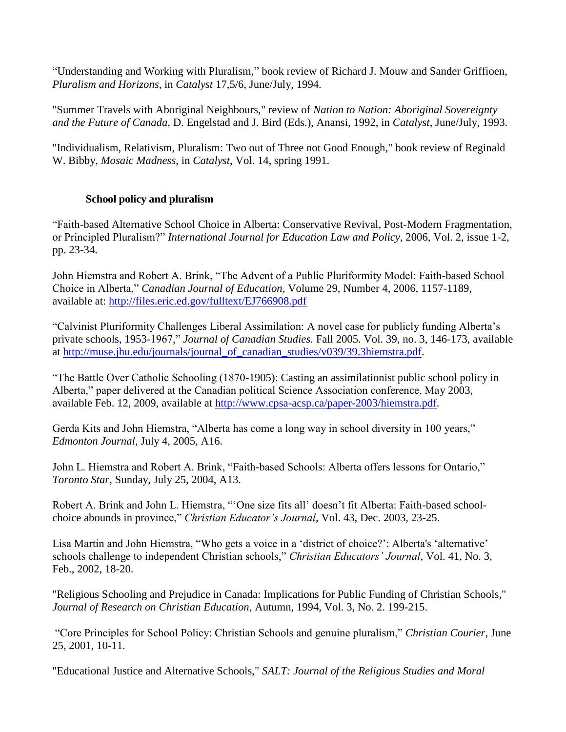"Understanding and Working with Pluralism," book review of Richard J. Mouw and Sander Griffioen, *Pluralism and Horizons*, in *Catalyst* 17,5/6, June/July, 1994.

"Summer Travels with Aboriginal Neighbours," review of *Nation to Nation: Aboriginal Sovereignty and the Future of Canada*, D. Engelstad and J. Bird (Eds.), Anansi, 1992, in *Catalyst*, June/July, 1993.

"Individualism, Relativism, Pluralism: Two out of Three not Good Enough," book review of Reginald W. Bibby, *Mosaic Madness*, in *Catalyst*, Vol. 14, spring 1991.

## **School policy and pluralism**

"Faith-based Alternative School Choice in Alberta: Conservative Revival, Post-Modern Fragmentation, or Principled Pluralism?" *International Journal for Education Law and Policy*, 2006, Vol. 2, issue 1-2, pp. 23-34.

John Hiemstra and Robert A. Brink, "The Advent of a Public Pluriformity Model: Faith-based School Choice in Alberta," *Canadian Journal of Education*, Volume 29, Number 4, 2006, 1157-1189, available at: <http://files.eric.ed.gov/fulltext/EJ766908.pdf>

"Calvinist Pluriformity Challenges Liberal Assimilation: A novel case for publicly funding Alberta's private schools, 1953-1967," *Journal of Canadian Studies.* Fall 2005. Vol. 39, no. 3, 146-173, available at [http://muse.jhu.edu/journals/journal\\_of\\_canadian\\_studies/v039/39.3hiemstra.pdf.](http://muse.jhu.edu/journals/journal_of_canadian_studies/v039/39.3hiemstra.pdf)

"The Battle Over Catholic Schooling (1870-1905): Casting an assimilationist public school policy in Alberta," paper delivered at the Canadian political Science Association conference, May 2003, available Feb. 12, 2009, available at [http://www.cpsa-acsp.ca/paper-2003/hiemstra.pdf.](http://www.cpsa-acsp.ca/paper-2003/hiemstra.pdf)

Gerda Kits and John Hiemstra, "Alberta has come a long way in school diversity in 100 years," *Edmonton Journal*, July 4, 2005, A16.

John L. Hiemstra and Robert A. Brink, "Faith-based Schools: Alberta offers lessons for Ontario," *Toronto Star*, Sunday, July 25, 2004, A13.

Robert A. Brink and John L. Hiemstra, "'One size fits all' doesn't fit Alberta: Faith-based schoolchoice abounds in province," *Christian Educator's Journal*, Vol. 43, Dec. 2003, 23-25.

Lisa Martin and John Hiemstra, "Who gets a voice in a 'district of choice?': Alberta's 'alternative' schools challenge to independent Christian schools," *Christian Educators' Journal*, Vol. 41, No. 3, Feb., 2002, 18-20.

"Religious Schooling and Prejudice in Canada: Implications for Public Funding of Christian Schools," *Journal of Research on Christian Education*, Autumn, 1994, Vol. 3, No. 2. 199-215.

"Core Principles for School Policy: Christian Schools and genuine pluralism," *Christian Courier*, June 25, 2001, 10-11.

"Educational Justice and Alternative Schools," *SALT: Journal of the Religious Studies and Moral*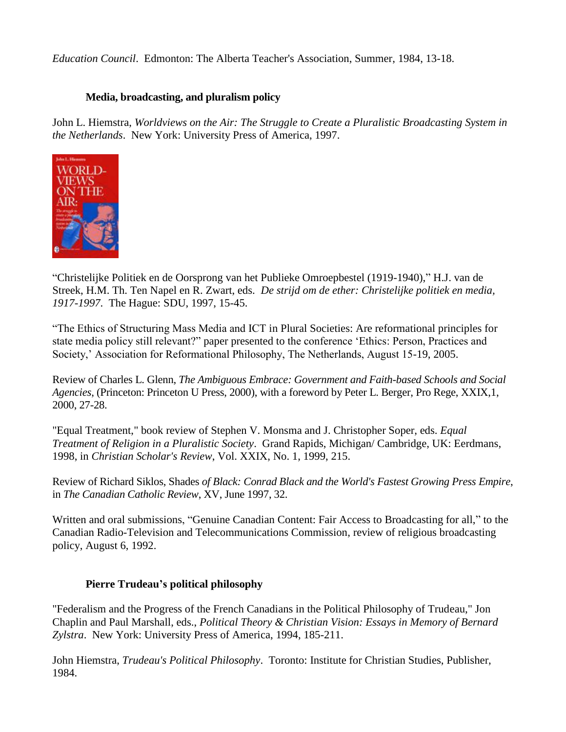*Education Council*. Edmonton: The Alberta Teacher's Association, Summer, 1984, 13-18.

#### **Media, broadcasting, and pluralism policy**

John L. Hiemstra, *Worldviews on the Air: The Struggle to Create a Pluralistic Broadcasting System in the Netherlands*. New York: University Press of America, 1997.



"Christelijke Politiek en de Oorsprong van het Publieke Omroepbestel (1919-1940)," H.J. van de Streek, H.M. Th. Ten Napel en R. Zwart, eds. *De strijd om de ether: Christelijke politiek en media, 1917-1997*. The Hague: SDU, 1997, 15-45.

"The Ethics of Structuring Mass Media and ICT in Plural Societies: Are reformational principles for state media policy still relevant?" paper presented to the conference 'Ethics: Person, Practices and Society,' Association for Reformational Philosophy, The Netherlands, August 15-19, 2005.

Review of Charles L. Glenn, *The Ambiguous Embrace: Government and Faith-based Schools and Social Agencies*, (Princeton: Princeton U Press, 2000), with a foreword by Peter L. Berger, Pro Rege, XXIX,1, 2000, 27-28.

"Equal Treatment," book review of Stephen V. Monsma and J. Christopher Soper, eds. *Equal Treatment of Religion in a Pluralistic Society*. Grand Rapids, Michigan/ Cambridge, UK: Eerdmans, 1998, in *Christian Scholar's Review*, Vol. XXIX, No. 1, 1999, 215.

Review of Richard Siklos, Shades *of Black: Conrad Black and the World's Fastest Growing Press Empire*, in *The Canadian Catholic Review*, XV, June 1997, 32.

Written and oral submissions, "Genuine Canadian Content: Fair Access to Broadcasting for all," to the Canadian Radio-Television and Telecommunications Commission, review of religious broadcasting policy, August 6, 1992.

#### **Pierre Trudeau's political philosophy**

"Federalism and the Progress of the French Canadians in the Political Philosophy of Trudeau," Jon Chaplin and Paul Marshall, eds., *Political Theory & Christian Vision: Essays in Memory of Bernard Zylstra*. New York: University Press of America, 1994, 185-211.

John Hiemstra, *Trudeau's Political Philosophy*. Toronto: Institute for Christian Studies, Publisher, 1984.